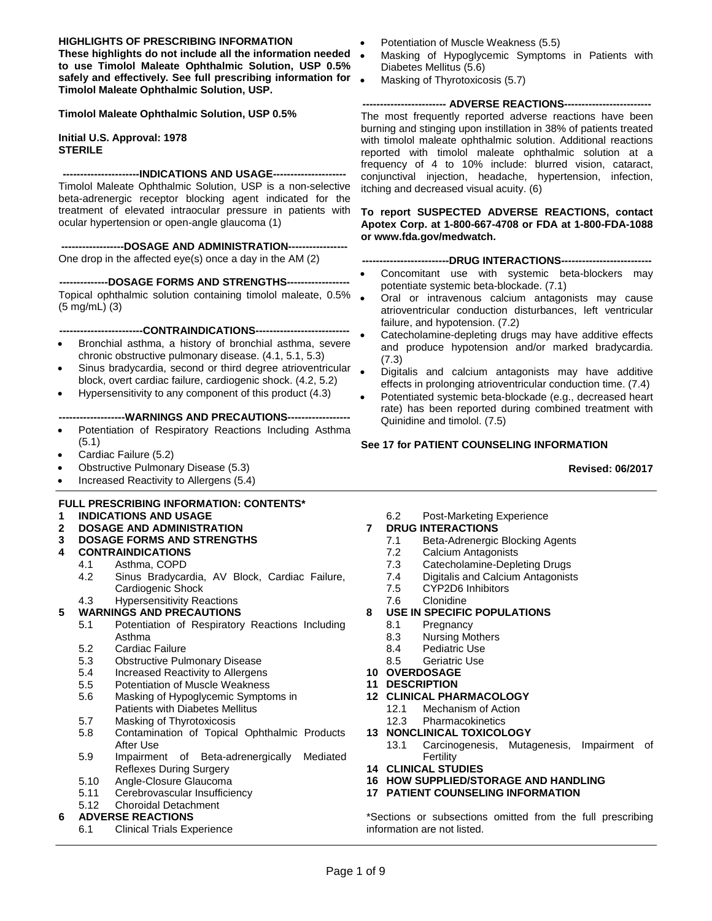#### **HIGHLIGHTS OF PRESCRIBING INFORMATION**

**These highlights do not include all the information needed to use Timolol Maleate Ophthalmic Solution, USP 0.5% safely and effectively. See full prescribing information for Timolol Maleate Ophthalmic Solution, USP.** 

**Timolol Maleate Ophthalmic Solution, USP 0.5%** 

**Initial U.S. Approval: 1978 STERILE**

**----------------------INDICATIONS AND USAGE---------------------**

Timolol Maleate Ophthalmic Solution, USP is a non-selective beta-adrenergic receptor blocking agent indicated for the treatment of elevated intraocular pressure in patients with ocular hypertension or open-angle glaucoma (1)

**------------------DOSAGE AND ADMINISTRATION-----------------** One drop in the affected eye(s) once a day in the AM (2)

**--------------DOSAGE FORMS AND STRENGTHS------------------** Topical ophthalmic solution containing timolol maleate, 0.5% (5 mg/mL) (3)

**------------------------CONTRAINDICATIONS---------------------------**

- Bronchial asthma, a history of bronchial asthma, severe chronic obstructive pulmonary disease. (4.1, 5.1, 5.3)
- Sinus bradycardia, second or third degree atrioventricular block, overt cardiac failure, cardiogenic shock. (4.2, 5.2)
- Hypersensitivity to any component of this product (4.3)

#### --WARNINGS AND PRECAUTIONS----

- Potentiation of Respiratory Reactions Including Asthma (5.1)
- Cardiac Failure (5.2)
- Obstructive Pulmonary Disease (5.3)
- Increased Reactivity to Allergens (5.4)

#### **FULL PRESCRIBING INFORMATION: CONTENTS\***

- **1 INDICATIONS AND USAGE**
- **2 DOSAGE AND ADMINISTRATION**

#### **3 DOSAGE FORMS AND STRENGTHS**

- **4 CONTRAINDICATIONS** 
	- 4.1 Asthma, COPD<br>4.2 Sinus Bradycar
	- Sinus Bradycardia, AV Block, Cardiac Failure, Cardiogenic Shock

# 4.3 Hypersensitivity Reactions

#### **5 WARNINGS AND PRECAUTIONS**

- 5.1 Potentiation of Respiratory Reactions Including Asthma
- 5.2 Cardiac Failure<br>5.3 Obstructive Pulr
- **Obstructive Pulmonary Disease**
- 5.4 Increased Reactivity to Allergens<br>5.5 Potentiation of Muscle Weakness
- 5.5 Potentiation of Muscle Weakness<br>5.6 Masking of Hypoglycemic Sympto
- Masking of Hypoglycemic Symptoms in Patients with Diabetes Mellitus
- 5.7 Masking of Thyrotoxicosis
- 5.8 Contamination of Topical Ophthalmic Products After Use
- 5.9 Impairment of Beta-adrenergically Mediated Reflexes During Surgery
- 5.10 Angle-Closure Glaucoma<br>5.11 Cerebrovascular Insufficie
- 5.11 Cerebrovascular Insufficiency<br>5.12 Choroidal Detachment

# 5.12 Choroidal Detachment

## **6 ADVERSE REACTIONS**

6.1 Clinical Trials Experience

- Potentiation of Muscle Weakness (5.5)
- Masking of Hypoglycemic Symptoms in Patients with Diabetes Mellitus (5.6)
- Masking of Thyrotoxicosis (5.7)

#### **------------------------ ADVERSE REACTIONS-------------------------**

The most frequently reported adverse reactions have been burning and stinging upon instillation in 38% of patients treated with timolol maleate ophthalmic solution. Additional reactions reported with timolol maleate ophthalmic solution at a frequency of 4 to 10% include: blurred vision, cataract, conjunctival injection, headache, hypertension, infection, itching and decreased visual acuity. (6)

**To report SUSPECTED ADVERSE REACTIONS, contact Apotex Corp. at 1-800-667-4708 or FDA at 1-800-FDA-1088 or www.fda.gov/medwatch.**

#### **-------------------------DRUG INTERACTIONS--------------------------**

- Concomitant use with systemic beta-blockers may potentiate systemic beta-blockade. (7.1)
- Oral or intravenous calcium antagonists may cause atrioventricular conduction disturbances, left ventricular failure, and hypotension. (7.2)
- Catecholamine-depleting drugs may have additive effects and produce hypotension and/or marked bradycardia. (7.3)
- Digitalis and calcium antagonists may have additive effects in prolonging atrioventricular conduction time. (7.4)
- Potentiated systemic beta-blockade (e.g., decreased heart rate) has been reported during combined treatment with Quinidine and timolol. (7.5)

#### **See 17 for PATIENT COUNSELING INFORMATION**

#### **Revised: 06/2017**

6.2 Post-Marketing Experience

#### **7 DRUG INTERACTIONS**

- 7.1 Beta-Adrenergic Blocking Agents
- 7.2 Calcium Antagonists
- 7.3 Catecholamine-Depleting Drugs<br>7.4 Digitalis and Calcium Antagonist
- 7.4 Digitalis and Calcium Antagonists<br>7.5 CYP2D6 Inhibitors
- 7.5 CYP2D6 Inhibitors<br>7.6 Clonidine
- **Clonidine**
- **8 USE IN SPECIFIC POPULATIONS** 
	- 8.1 Pregnancy<br>8.3 Nursing Mo
	- 8.3 Nursing Mothers<br>8.4 Pediatric Use
	- Pediatric Use
	- 8.5 Geriatric Use
- **10 OVERDOSAGE**
- **11 DESCRIPTION**
- **12 CLINICAL PHARMACOLOGY** 
	- Mechanism of Action
	- 12.3 Pharmacokinetics
- **13 NONCLINICAL TOXICOLOGY** 
	- 13.1 Carcinogenesis, Mutagenesis, Impairment of **Fertility**
- **14 CLINICAL STUDIES**
- **16 HOW SUPPLIED/STORAGE AND HANDLING**
- **17 PATIENT COUNSELING INFORMATION**

\*Sections or subsections omitted from the full prescribing information are not listed.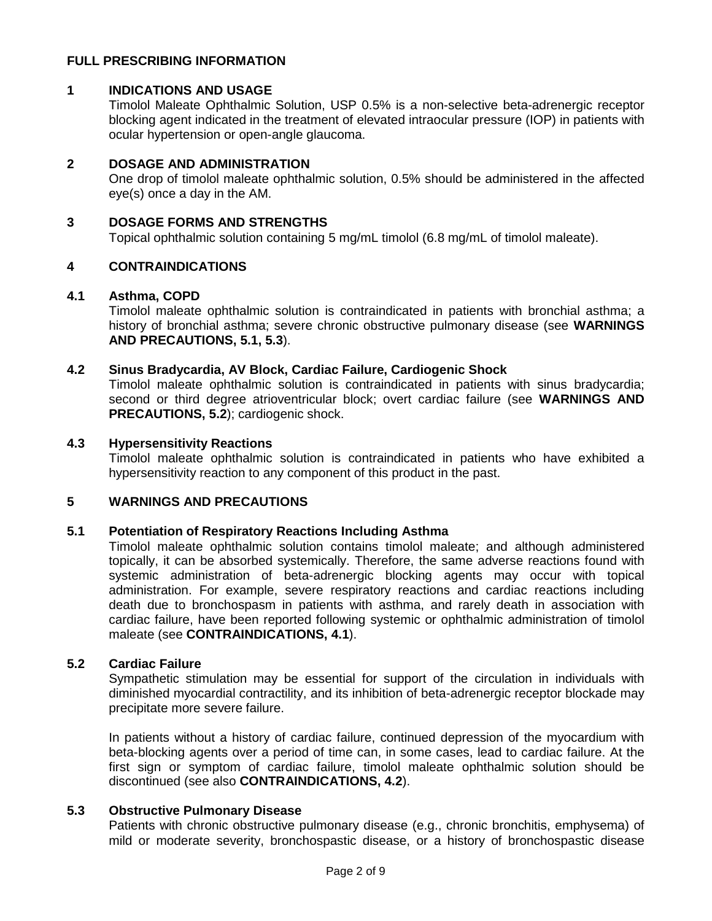## **FULL PRESCRIBING INFORMATION**

## **1 INDICATIONS AND USAGE**

Timolol Maleate Ophthalmic Solution, USP 0.5% is a non-selective beta-adrenergic receptor blocking agent indicated in the treatment of elevated intraocular pressure (IOP) in patients with ocular hypertension or open-angle glaucoma.

### **2 DOSAGE AND ADMINISTRATION**

One drop of timolol maleate ophthalmic solution, 0.5% should be administered in the affected eye(s) once a day in the AM.

### **3 DOSAGE FORMS AND STRENGTHS**

Topical ophthalmic solution containing 5 mg/mL timolol (6.8 mg/mL of timolol maleate).

## **4 CONTRAINDICATIONS**

#### **4.1 Asthma, COPD**

Timolol maleate ophthalmic solution is contraindicated in patients with bronchial asthma; a history of bronchial asthma; severe chronic obstructive pulmonary disease (see **WARNINGS AND PRECAUTIONS, 5.1, 5.3**).

## **4.2 Sinus Bradycardia, AV Block, Cardiac Failure, Cardiogenic Shock**

Timolol maleate ophthalmic solution is contraindicated in patients with sinus bradycardia; second or third degree atrioventricular block; overt cardiac failure (see **WARNINGS AND PRECAUTIONS, 5.2**); cardiogenic shock.

#### **4.3 Hypersensitivity Reactions**

Timolol maleate ophthalmic solution is contraindicated in patients who have exhibited a hypersensitivity reaction to any component of this product in the past.

## **5 WARNINGS AND PRECAUTIONS**

## **5.1 Potentiation of Respiratory Reactions Including Asthma**

Timolol maleate ophthalmic solution contains timolol maleate; and although administered topically, it can be absorbed systemically. Therefore, the same adverse reactions found with systemic administration of beta-adrenergic blocking agents may occur with topical administration. For example, severe respiratory reactions and cardiac reactions including death due to bronchospasm in patients with asthma, and rarely death in association with cardiac failure, have been reported following systemic or ophthalmic administration of timolol maleate (see **CONTRAINDICATIONS, 4.1**).

#### **5.2 Cardiac Failure**

Sympathetic stimulation may be essential for support of the circulation in individuals with diminished myocardial contractility, and its inhibition of beta-adrenergic receptor blockade may precipitate more severe failure.

In patients without a history of cardiac failure, continued depression of the myocardium with beta-blocking agents over a period of time can, in some cases, lead to cardiac failure. At the first sign or symptom of cardiac failure, timolol maleate ophthalmic solution should be discontinued (see also **CONTRAINDICATIONS, 4.2**).

#### **5.3 Obstructive Pulmonary Disease**

Patients with chronic obstructive pulmonary disease (e.g., chronic bronchitis, emphysema) of mild or moderate severity, bronchospastic disease, or a history of bronchospastic disease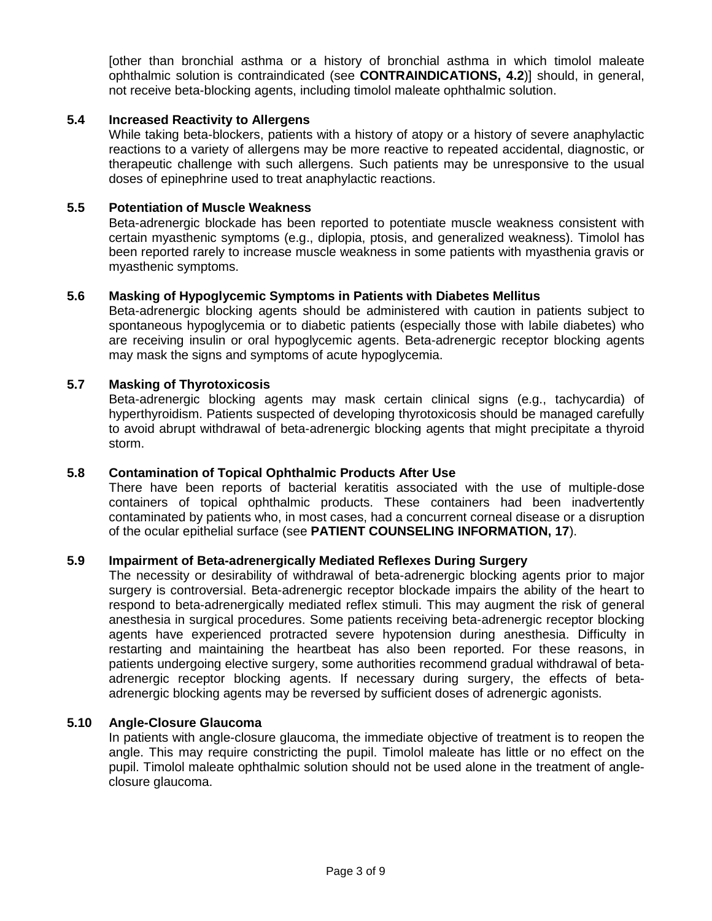[other than bronchial asthma or a history of bronchial asthma in which timolol maleate ophthalmic solution is contraindicated (see **CONTRAINDICATIONS, 4.2**)] should, in general, not receive beta-blocking agents, including timolol maleate ophthalmic solution.

## **5.4 Increased Reactivity to Allergens**

While taking beta-blockers, patients with a history of atopy or a history of severe anaphylactic reactions to a variety of allergens may be more reactive to repeated accidental, diagnostic, or therapeutic challenge with such allergens. Such patients may be unresponsive to the usual doses of epinephrine used to treat anaphylactic reactions.

## **5.5 Potentiation of Muscle Weakness**

Beta-adrenergic blockade has been reported to potentiate muscle weakness consistent with certain myasthenic symptoms (e.g., diplopia, ptosis, and generalized weakness). Timolol has been reported rarely to increase muscle weakness in some patients with myasthenia gravis or myasthenic symptoms.

## **5.6 Masking of Hypoglycemic Symptoms in Patients with Diabetes Mellitus**

Beta-adrenergic blocking agents should be administered with caution in patients subject to spontaneous hypoglycemia or to diabetic patients (especially those with labile diabetes) who are receiving insulin or oral hypoglycemic agents. Beta-adrenergic receptor blocking agents may mask the signs and symptoms of acute hypoglycemia.

#### **5.7 Masking of Thyrotoxicosis**

Beta-adrenergic blocking agents may mask certain clinical signs (e.g., tachycardia) of hyperthyroidism. Patients suspected of developing thyrotoxicosis should be managed carefully to avoid abrupt withdrawal of beta-adrenergic blocking agents that might precipitate a thyroid storm.

#### **5.8 Contamination of Topical Ophthalmic Products After Use**

There have been reports of bacterial keratitis associated with the use of multiple-dose containers of topical ophthalmic products. These containers had been inadvertently contaminated by patients who, in most cases, had a concurrent corneal disease or a disruption of the ocular epithelial surface (see **PATIENT COUNSELING INFORMATION, 17**).

### **5.9 Impairment of Beta-adrenergically Mediated Reflexes During Surgery**

The necessity or desirability of withdrawal of beta-adrenergic blocking agents prior to major surgery is controversial. Beta-adrenergic receptor blockade impairs the ability of the heart to respond to beta-adrenergically mediated reflex stimuli. This may augment the risk of general anesthesia in surgical procedures. Some patients receiving beta-adrenergic receptor blocking agents have experienced protracted severe hypotension during anesthesia. Difficulty in restarting and maintaining the heartbeat has also been reported. For these reasons, in patients undergoing elective surgery, some authorities recommend gradual withdrawal of betaadrenergic receptor blocking agents. If necessary during surgery, the effects of betaadrenergic blocking agents may be reversed by sufficient doses of adrenergic agonists.

#### **5.10 Angle-Closure Glaucoma**

In patients with angle-closure glaucoma, the immediate objective of treatment is to reopen the angle. This may require constricting the pupil. Timolol maleate has little or no effect on the pupil. Timolol maleate ophthalmic solution should not be used alone in the treatment of angleclosure glaucoma.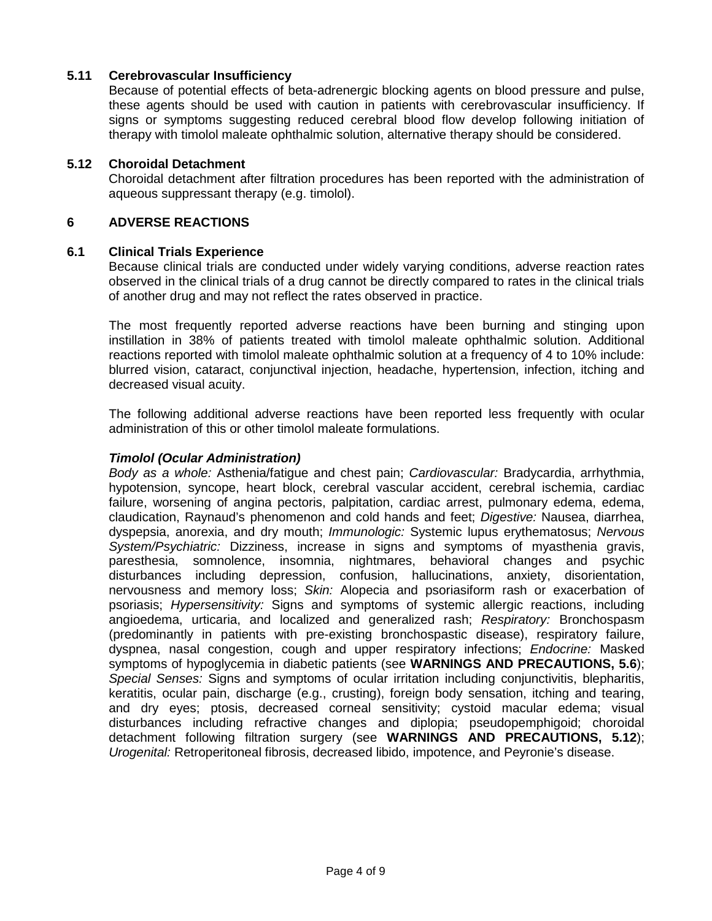## **5.11 Cerebrovascular Insufficiency**

Because of potential effects of beta-adrenergic blocking agents on blood pressure and pulse, these agents should be used with caution in patients with cerebrovascular insufficiency. If signs or symptoms suggesting reduced cerebral blood flow develop following initiation of therapy with timolol maleate ophthalmic solution, alternative therapy should be considered.

## **5.12 Choroidal Detachment**

Choroidal detachment after filtration procedures has been reported with the administration of aqueous suppressant therapy (e.g. timolol).

## **6 ADVERSE REACTIONS**

## **6.1 Clinical Trials Experience**

Because clinical trials are conducted under widely varying conditions, adverse reaction rates observed in the clinical trials of a drug cannot be directly compared to rates in the clinical trials of another drug and may not reflect the rates observed in practice.

The most frequently reported adverse reactions have been burning and stinging upon instillation in 38% of patients treated with timolol maleate ophthalmic solution. Additional reactions reported with timolol maleate ophthalmic solution at a frequency of 4 to 10% include: blurred vision, cataract, conjunctival injection, headache, hypertension, infection, itching and decreased visual acuity.

The following additional adverse reactions have been reported less frequently with ocular administration of this or other timolol maleate formulations.

## *Timolol (Ocular Administration)*

*Body as a whole:* Asthenia/fatigue and chest pain; *Cardiovascular:* Bradycardia, arrhythmia, hypotension, syncope, heart block, cerebral vascular accident, cerebral ischemia, cardiac failure, worsening of angina pectoris, palpitation, cardiac arrest, pulmonary edema, edema, claudication, Raynaud's phenomenon and cold hands and feet; *Digestive:* Nausea, diarrhea, dyspepsia, anorexia, and dry mouth; *Immunologic:* Systemic lupus erythematosus; *Nervous System/Psychiatric:* Dizziness, increase in signs and symptoms of myasthenia gravis, paresthesia, somnolence, insomnia, nightmares, behavioral changes and psychic disturbances including depression, confusion, hallucinations, anxiety, disorientation, nervousness and memory loss; *Skin:* Alopecia and psoriasiform rash or exacerbation of psoriasis; *Hypersensitivity:* Signs and symptoms of systemic allergic reactions, including angioedema, urticaria, and localized and generalized rash; *Respiratory:* Bronchospasm (predominantly in patients with pre-existing bronchospastic disease), respiratory failure, dyspnea, nasal congestion, cough and upper respiratory infections; *Endocrine:* Masked symptoms of hypoglycemia in diabetic patients (see **WARNINGS AND PRECAUTIONS, 5.6**); *Special Senses:* Signs and symptoms of ocular irritation including conjunctivitis, blepharitis, keratitis, ocular pain, discharge (e.g., crusting), foreign body sensation, itching and tearing, and dry eyes; ptosis, decreased corneal sensitivity; cystoid macular edema; visual disturbances including refractive changes and diplopia; pseudopemphigoid; choroidal detachment following filtration surgery (see **WARNINGS AND PRECAUTIONS, 5.12**); *Urogenital:* Retroperitoneal fibrosis, decreased libido, impotence, and Peyronie's disease.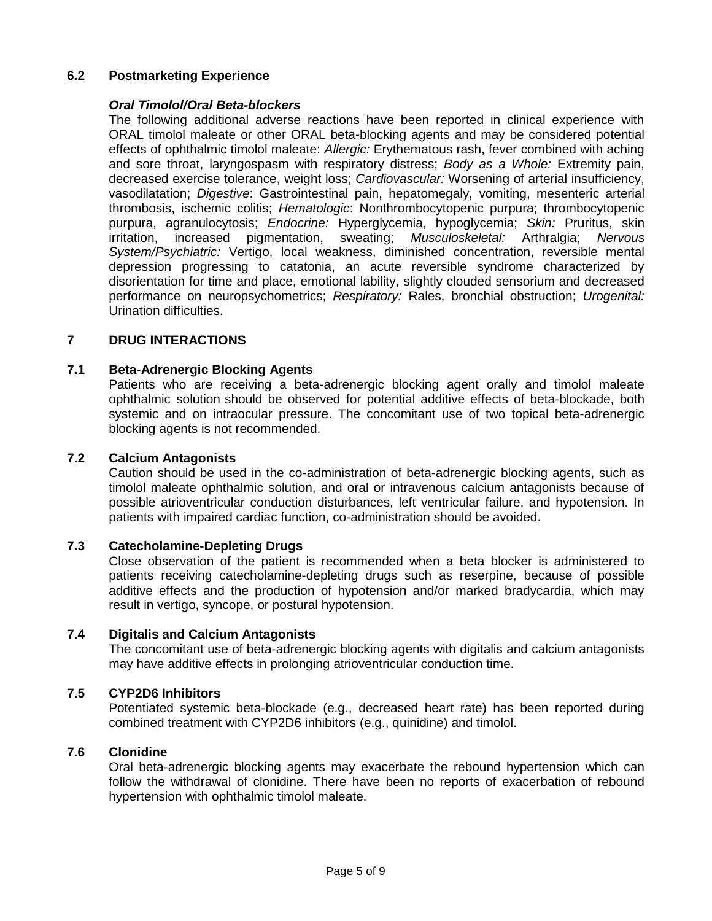# **6.2 Postmarketing Experience**

## *Oral Timolol/Oral Beta-blockers*

The following additional adverse reactions have been reported in clinical experience with ORAL timolol maleate or other ORAL beta-blocking agents and may be considered potential effects of ophthalmic timolol maleate: *Allergic:* Erythematous rash, fever combined with aching and sore throat, laryngospasm with respiratory distress; *Body as a Whole:* Extremity pain, decreased exercise tolerance, weight loss; *Cardiovascular:* Worsening of arterial insufficiency, vasodilatation; *Digestive*: Gastrointestinal pain, hepatomegaly, vomiting, mesenteric arterial thrombosis, ischemic colitis; *Hematologic*: Nonthrombocytopenic purpura; thrombocytopenic purpura, agranulocytosis; *Endocrine:* Hyperglycemia, hypoglycemia; *Skin:* Pruritus, skin irritation, increased pigmentation, sweating; *Musculoskeletal:* Arthralgia; *Nervous System/Psychiatric:* Vertigo, local weakness, diminished concentration, reversible mental depression progressing to catatonia, an acute reversible syndrome characterized by disorientation for time and place, emotional lability, slightly clouded sensorium and decreased performance on neuropsychometrics; *Respiratory:* Rales, bronchial obstruction; *Urogenital:*  Urination difficulties.

## **7 DRUG INTERACTIONS**

## **7.1 Beta-Adrenergic Blocking Agents**

Patients who are receiving a beta-adrenergic blocking agent orally and timolol maleate ophthalmic solution should be observed for potential additive effects of beta-blockade, both systemic and on intraocular pressure. The concomitant use of two topical beta-adrenergic blocking agents is not recommended.

## **7.2 Calcium Antagonists**

Caution should be used in the co-administration of beta-adrenergic blocking agents, such as timolol maleate ophthalmic solution, and oral or intravenous calcium antagonists because of possible atrioventricular conduction disturbances, left ventricular failure, and hypotension. In patients with impaired cardiac function, co-administration should be avoided.

# **7.3 Catecholamine-Depleting Drugs**

Close observation of the patient is recommended when a beta blocker is administered to patients receiving catecholamine-depleting drugs such as reserpine, because of possible additive effects and the production of hypotension and/or marked bradycardia, which may result in vertigo, syncope, or postural hypotension.

## **7.4 Digitalis and Calcium Antagonists**

The concomitant use of beta-adrenergic blocking agents with digitalis and calcium antagonists may have additive effects in prolonging atrioventricular conduction time.

## **7.5 CYP2D6 Inhibitors**

Potentiated systemic beta-blockade (e.g., decreased heart rate) has been reported during combined treatment with CYP2D6 inhibitors (e.g., quinidine) and timolol.

#### **7.6 Clonidine**

Oral beta-adrenergic blocking agents may exacerbate the rebound hypertension which can follow the withdrawal of clonidine. There have been no reports of exacerbation of rebound hypertension with ophthalmic timolol maleate.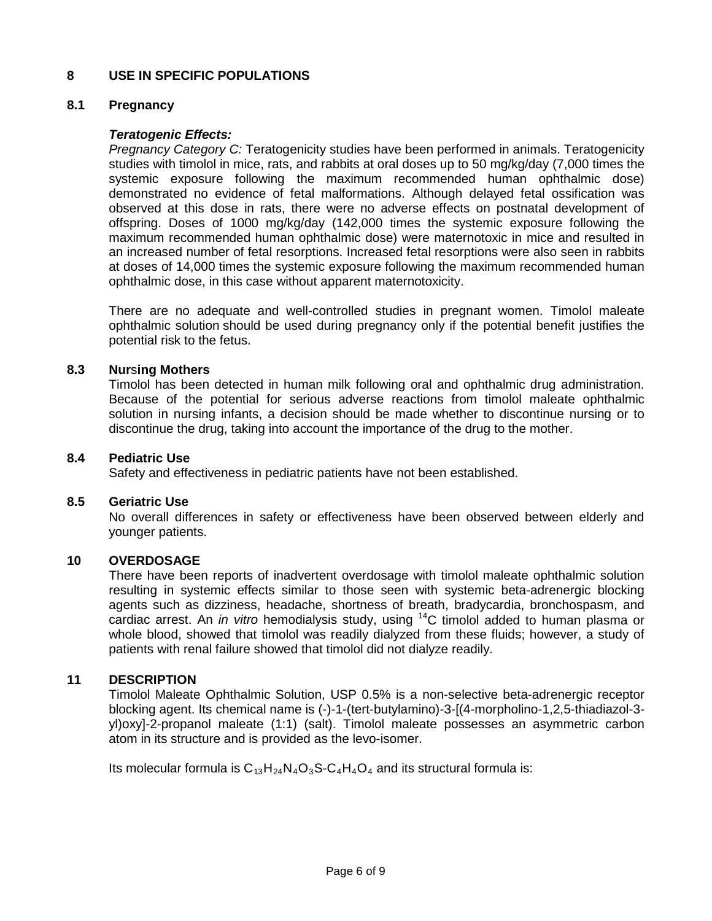## **8 USE IN SPECIFIC POPULATIONS**

## **8.1 Pregnancy**

## *Teratogenic Effects:*

*Pregnancy Category C:* Teratogenicity studies have been performed in animals. Teratogenicity studies with timolol in mice, rats, and rabbits at oral doses up to 50 mg/kg/day (7,000 times the systemic exposure following the maximum recommended human ophthalmic dose) demonstrated no evidence of fetal malformations. Although delayed fetal ossification was observed at this dose in rats, there were no adverse effects on postnatal development of offspring. Doses of 1000 mg/kg/day (142,000 times the systemic exposure following the maximum recommended human ophthalmic dose) were maternotoxic in mice and resulted in an increased number of fetal resorptions. Increased fetal resorptions were also seen in rabbits at doses of 14,000 times the systemic exposure following the maximum recommended human ophthalmic dose, in this case without apparent maternotoxicity.

There are no adequate and well-controlled studies in pregnant women. Timolol maleate ophthalmic solution should be used during pregnancy only if the potential benefit justifies the potential risk to the fetus.

## **8.3 Nur**s**ing Mothers**

Timolol has been detected in human milk following oral and ophthalmic drug administration. Because of the potential for serious adverse reactions from timolol maleate ophthalmic solution in nursing infants, a decision should be made whether to discontinue nursing or to discontinue the drug, taking into account the importance of the drug to the mother.

### **8.4 Pediatric Use**

Safety and effectiveness in pediatric patients have not been established.

#### **8.5 Geriatric Use**

No overall differences in safety or effectiveness have been observed between elderly and younger patients.

#### **10 OVERDOSAGE**

There have been reports of inadvertent overdosage with timolol maleate ophthalmic solution resulting in systemic effects similar to those seen with systemic beta-adrenergic blocking agents such as dizziness, headache, shortness of breath, bradycardia, bronchospasm, and cardiac arrest. An *in vitro* hemodialysis study, using 14C timolol added to human plasma or whole blood, showed that timolol was readily dialyzed from these fluids; however, a study of patients with renal failure showed that timolol did not dialyze readily.

## **11 DESCRIPTION**

Timolol Maleate Ophthalmic Solution, USP 0.5% is a non-selective beta-adrenergic receptor blocking agent. Its chemical name is (-)-1-(tert-butylamino)-3-[(4-morpholino-1,2,5-thiadiazol-3 yl)oxy]-2-propanol maleate (1:1) (salt). Timolol maleate possesses an asymmetric carbon atom in its structure and is provided as the levo-isomer.

Its molecular formula is  $C_{13}H_{24}N_{4}O_{3}S-C_{4}H_{4}O_{4}$  and its structural formula is: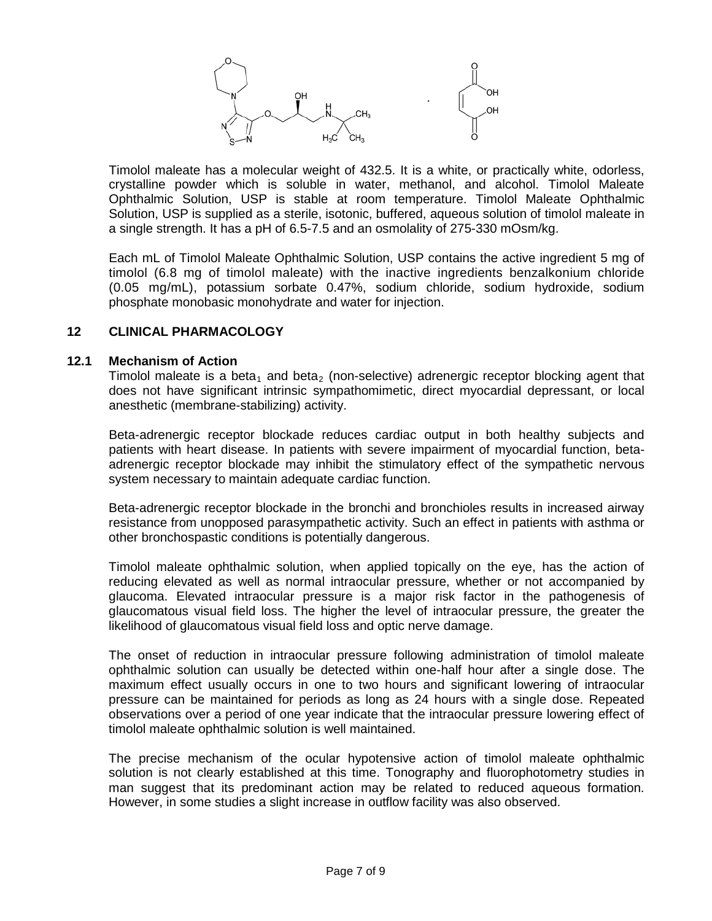

Timolol maleate has a molecular weight of 432.5. It is a white, or practically white, odorless, crystalline powder which is soluble in water, methanol, and alcohol. Timolol Maleate Ophthalmic Solution, USP is stable at room temperature. Timolol Maleate Ophthalmic Solution, USP is supplied as a sterile, isotonic, buffered, aqueous solution of timolol maleate in a single strength. It has a pH of 6.5-7.5 and an osmolality of 275-330 mOsm/kg.

Each mL of Timolol Maleate Ophthalmic Solution, USP contains the active ingredient 5 mg of timolol (6.8 mg of timolol maleate) with the inactive ingredients benzalkonium chloride (0.05 mg/mL), potassium sorbate 0.47%, sodium chloride, sodium hydroxide, sodium phosphate monobasic monohydrate and water for injection.

#### **12 CLINICAL PHARMACOLOGY**

#### **12.1 Mechanism of Action**

Timolol maleate is a beta<sub>1</sub> and beta<sub>2</sub> (non-selective) adrenergic receptor blocking agent that does not have significant intrinsic sympathomimetic, direct myocardial depressant, or local anesthetic (membrane-stabilizing) activity.

Beta-adrenergic receptor blockade reduces cardiac output in both healthy subjects and patients with heart disease. In patients with severe impairment of myocardial function, betaadrenergic receptor blockade may inhibit the stimulatory effect of the sympathetic nervous system necessary to maintain adequate cardiac function.

Beta-adrenergic receptor blockade in the bronchi and bronchioles results in increased airway resistance from unopposed parasympathetic activity. Such an effect in patients with asthma or other bronchospastic conditions is potentially dangerous.

Timolol maleate ophthalmic solution, when applied topically on the eye, has the action of reducing elevated as well as normal intraocular pressure, whether or not accompanied by glaucoma. Elevated intraocular pressure is a major risk factor in the pathogenesis of glaucomatous visual field loss. The higher the level of intraocular pressure, the greater the likelihood of glaucomatous visual field loss and optic nerve damage.

The onset of reduction in intraocular pressure following administration of timolol maleate ophthalmic solution can usually be detected within one-half hour after a single dose. The maximum effect usually occurs in one to two hours and significant lowering of intraocular pressure can be maintained for periods as long as 24 hours with a single dose. Repeated observations over a period of one year indicate that the intraocular pressure lowering effect of timolol maleate ophthalmic solution is well maintained.

The precise mechanism of the ocular hypotensive action of timolol maleate ophthalmic solution is not clearly established at this time. Tonography and fluorophotometry studies in man suggest that its predominant action may be related to reduced aqueous formation. However, in some studies a slight increase in outflow facility was also observed.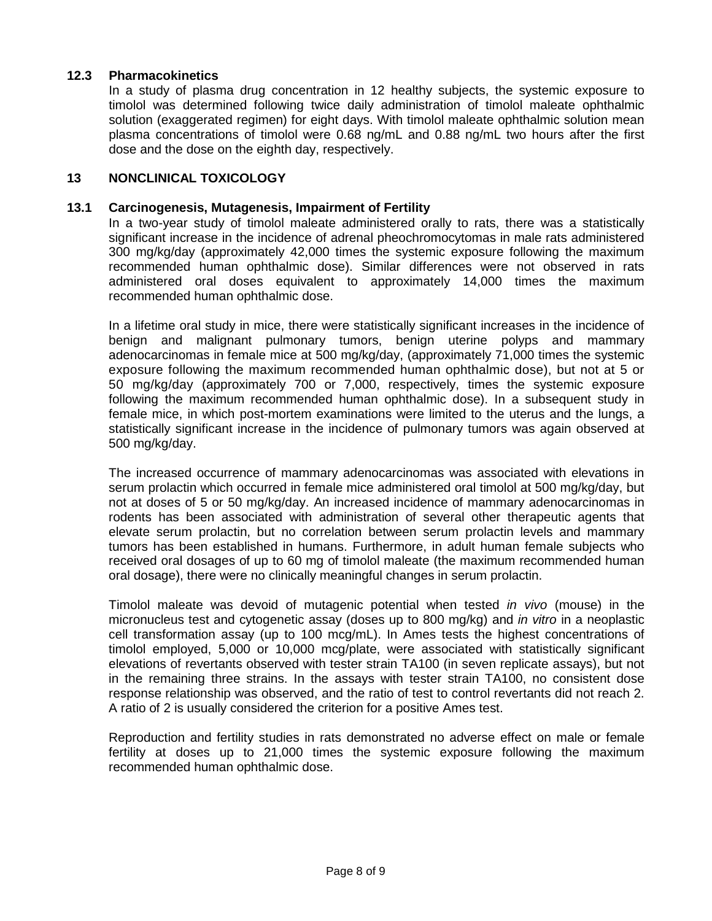## **12.3 Pharmacokinetics**

In a study of plasma drug concentration in 12 healthy subjects, the systemic exposure to timolol was determined following twice daily administration of timolol maleate ophthalmic solution (exaggerated regimen) for eight days. With timolol maleate ophthalmic solution mean plasma concentrations of timolol were 0.68 ng/mL and 0.88 ng/mL two hours after the first dose and the dose on the eighth day, respectively.

## **13 NONCLINICAL TOXICOLOGY**

#### **13.1 Carcinogenesis, Mutagenesis, Impairment of Fertility**

In a two-year study of timolol maleate administered orally to rats, there was a statistically significant increase in the incidence of adrenal pheochromocytomas in male rats administered 300 mg/kg/day (approximately 42,000 times the systemic exposure following the maximum recommended human ophthalmic dose). Similar differences were not observed in rats administered oral doses equivalent to approximately 14,000 times the maximum recommended human ophthalmic dose.

In a lifetime oral study in mice, there were statistically significant increases in the incidence of benign and malignant pulmonary tumors, benign uterine polyps and mammary adenocarcinomas in female mice at 500 mg/kg/day, (approximately 71,000 times the systemic exposure following the maximum recommended human ophthalmic dose), but not at 5 or 50 mg/kg/day (approximately 700 or 7,000, respectively, times the systemic exposure following the maximum recommended human ophthalmic dose). In a subsequent study in female mice, in which post-mortem examinations were limited to the uterus and the lungs, a statistically significant increase in the incidence of pulmonary tumors was again observed at 500 mg/kg/day.

The increased occurrence of mammary adenocarcinomas was associated with elevations in serum prolactin which occurred in female mice administered oral timolol at 500 mg/kg/day, but not at doses of 5 or 50 mg/kg/day. An increased incidence of mammary adenocarcinomas in rodents has been associated with administration of several other therapeutic agents that elevate serum prolactin, but no correlation between serum prolactin levels and mammary tumors has been established in humans. Furthermore, in adult human female subjects who received oral dosages of up to 60 mg of timolol maleate (the maximum recommended human oral dosage), there were no clinically meaningful changes in serum prolactin.

Timolol maleate was devoid of mutagenic potential when tested *in vivo* (mouse) in the micronucleus test and cytogenetic assay (doses up to 800 mg/kg) and *in vitro* in a neoplastic cell transformation assay (up to 100 mcg/mL). In Ames tests the highest concentrations of timolol employed, 5,000 or 10,000 mcg/plate, were associated with statistically significant elevations of revertants observed with tester strain TA100 (in seven replicate assays), but not in the remaining three strains. In the assays with tester strain TA100, no consistent dose response relationship was observed, and the ratio of test to control revertants did not reach 2. A ratio of 2 is usually considered the criterion for a positive Ames test.

Reproduction and fertility studies in rats demonstrated no adverse effect on male or female fertility at doses up to 21,000 times the systemic exposure following the maximum recommended human ophthalmic dose.